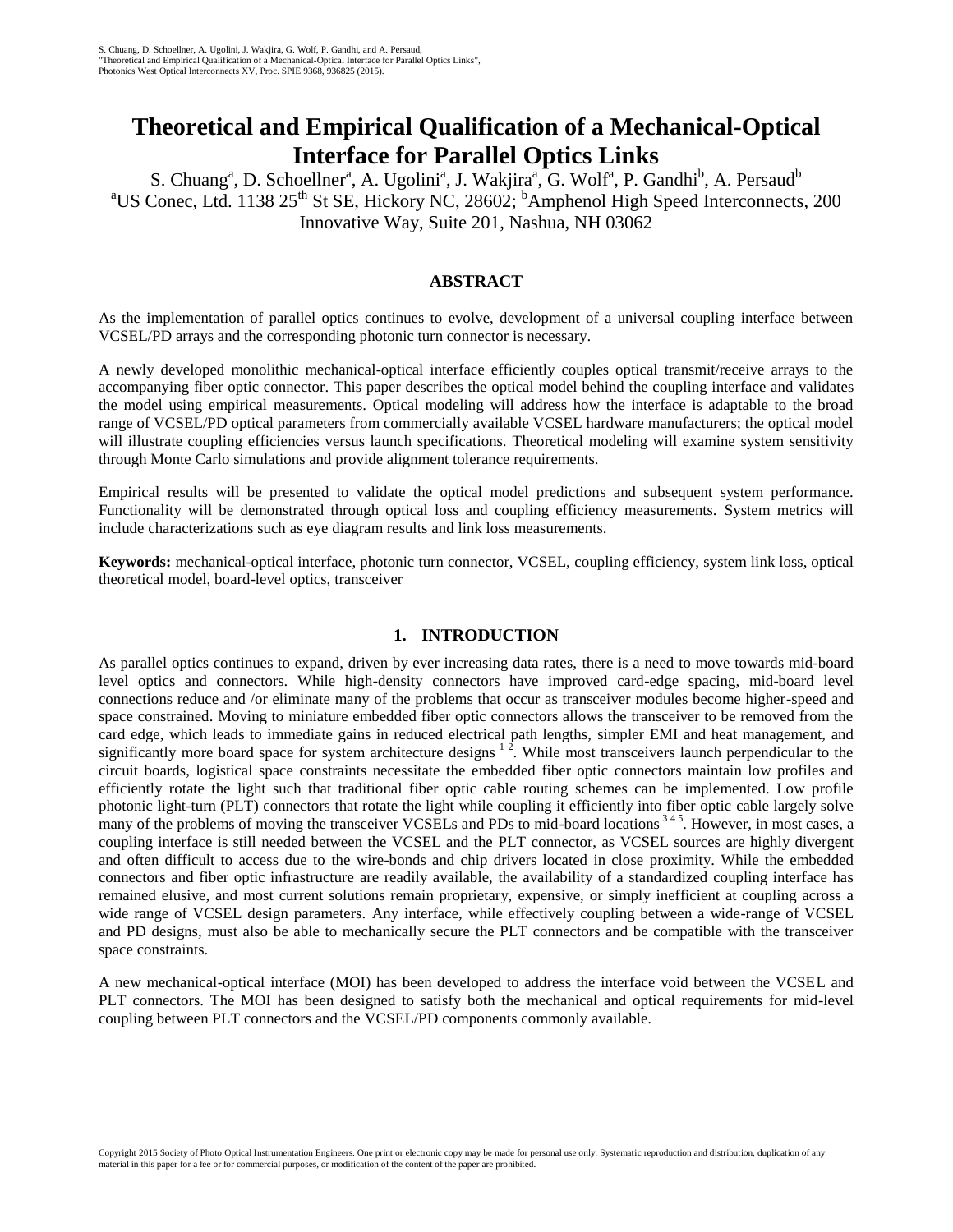# **Theoretical and Empirical Qualification of a Mechanical-Optical Interface for Parallel Optics Links**

S. Chuang<sup>a</sup>, D. Schoellner<sup>a</sup>, A. Ugolini<sup>a</sup>, J. Wakjira<sup>a</sup>, G. Wolf<sup>a</sup>, P. Gandhi<sup>b</sup>, A. Persaud<sup>b</sup> <sup>a</sup>US Conec, Ltd. 1138  $25<sup>th</sup>$  St SE, Hickory NC, 28602; <sup>b</sup>Amphenol High Speed Interconnects, 200 Innovative Way, Suite 201, Nashua, NH 03062

# **ABSTRACT**

As the implementation of parallel optics continues to evolve, development of a universal coupling interface between VCSEL/PD arrays and the corresponding photonic turn connector is necessary.

A newly developed monolithic mechanical-optical interface efficiently couples optical transmit/receive arrays to the accompanying fiber optic connector. This paper describes the optical model behind the coupling interface and validates the model using empirical measurements. Optical modeling will address how the interface is adaptable to the broad range of VCSEL/PD optical parameters from commercially available VCSEL hardware manufacturers; the optical model will illustrate coupling efficiencies versus launch specifications. Theoretical modeling will examine system sensitivity through Monte Carlo simulations and provide alignment tolerance requirements.

Empirical results will be presented to validate the optical model predictions and subsequent system performance. Functionality will be demonstrated through optical loss and coupling efficiency measurements. System metrics will include characterizations such as eye diagram results and link loss measurements.

**Keywords:** mechanical-optical interface, photonic turn connector, VCSEL, coupling efficiency, system link loss, optical theoretical model, board-level optics, transceiver

#### **1. INTRODUCTION**

As parallel optics continues to expand, driven by ever increasing data rates, there is a need to move towards mid-board level optics and connectors. While high-density connectors have improved card-edge spacing, mid-board level connections reduce and /or eliminate many of the problems that occur as transceiver modules become higher-speed and space constrained. Moving to miniature embedded fiber optic connectors allows the transceiver to be removed from the card edge, which leads to immediate gains in reduced electrical path lengths, simpler EMI and heat management, and significantly more board space for system architecture designs  $1^2$ . While most transceivers launch perpendicular to the circuit boards, logistical space constraints necessitate the embedded fiber optic connectors maintain low profiles and efficiently rotate the light such that traditional fiber optic cable routing schemes can be implemented. Low profile photonic light-turn (PLT) connectors that rotate the light while coupling it efficiently into fiber optic cable largely solve many of the problems of moving the transceiver VCSELs and PDs to mid-board locations<sup>345</sup>. However, in most cases, a coupling interface is still needed between the VCSEL and the PLT connector, as VCSEL sources are highly divergent and often difficult to access due to the wire-bonds and chip drivers located in close proximity. While the embedded connectors and fiber optic infrastructure are readily available, the availability of a standardized coupling interface has remained elusive, and most current solutions remain proprietary, expensive, or simply inefficient at coupling across a wide range of VCSEL design parameters. Any interface, while effectively coupling between a wide-range of VCSEL and PD designs, must also be able to mechanically secure the PLT connectors and be compatible with the transceiver space constraints.

A new mechanical-optical interface (MOI) has been developed to address the interface void between the VCSEL and PLT connectors. The MOI has been designed to satisfy both the mechanical and optical requirements for mid-level coupling between PLT connectors and the VCSEL/PD components commonly available.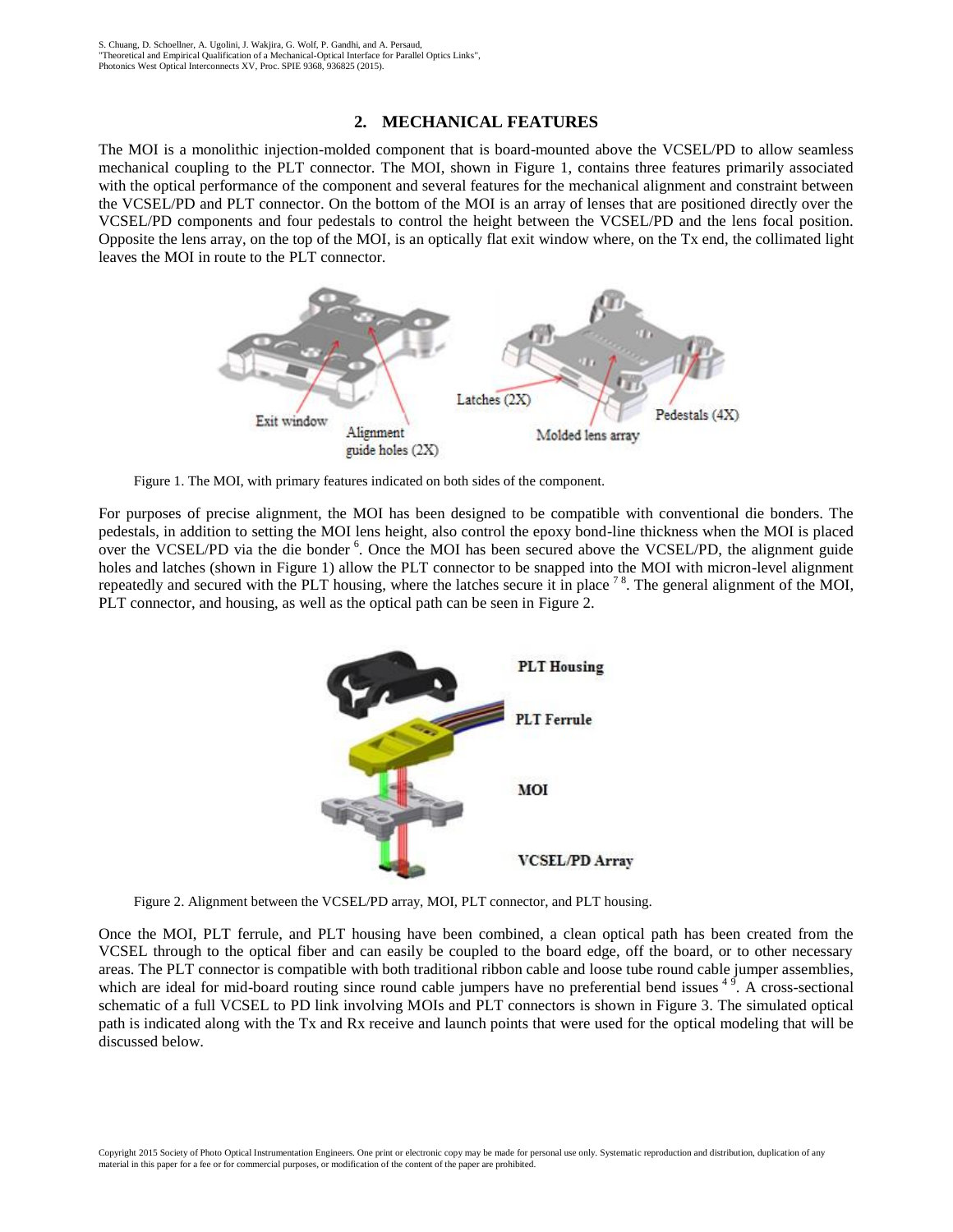#### **2. MECHANICAL FEATURES**

The MOI is a monolithic injection-molded component that is board-mounted above the VCSEL/PD to allow seamless mechanical coupling to the PLT connector. The MOI, shown in Figure 1, contains three features primarily associated with the optical performance of the component and several features for the mechanical alignment and constraint between the VCSEL/PD and PLT connector. On the bottom of the MOI is an array of lenses that are positioned directly over the VCSEL/PD components and four pedestals to control the height between the VCSEL/PD and the lens focal position. Opposite the lens array, on the top of the MOI, is an optically flat exit window where, on the Tx end, the collimated light leaves the MOI in route to the PLT connector.



Figure 1. The MOI, with primary features indicated on both sides of the component.

For purposes of precise alignment, the MOI has been designed to be compatible with conventional die bonders. The pedestals, in addition to setting the MOI lens height, also control the epoxy bond-line thickness when the MOI is placed over the VCSEL/PD via the die bonder <sup>6</sup>. Once the MOI has been secured above the VCSEL/PD, the alignment guide holes and latches (shown in Figure 1) allow the PLT connector to be snapped into the MOI with micron-level alignment repeatedly and secured with the PLT housing, where the latches secure it in place  $78$ . The general alignment of the MOI, PLT connector, and housing, as well as the optical path can be seen in Figure 2.



Figure 2. Alignment between the VCSEL/PD array, MOI, PLT connector, and PLT housing.

Once the MOI, PLT ferrule, and PLT housing have been combined, a clean optical path has been created from the VCSEL through to the optical fiber and can easily be coupled to the board edge, off the board, or to other necessary areas. The PLT connector is compatible with both traditional ribbon cable and loose tube round cable jumper assemblies, which are ideal for mid-board routing since round cable jumpers have no preferential bend issues  $4\frac{9}{1}$ . A cross-sectional schematic of a full VCSEL to PD link involving MOIs and PLT connectors is shown in Figure 3. The simulated optical path is indicated along with the Tx and Rx receive and launch points that were used for the optical modeling that will be discussed below.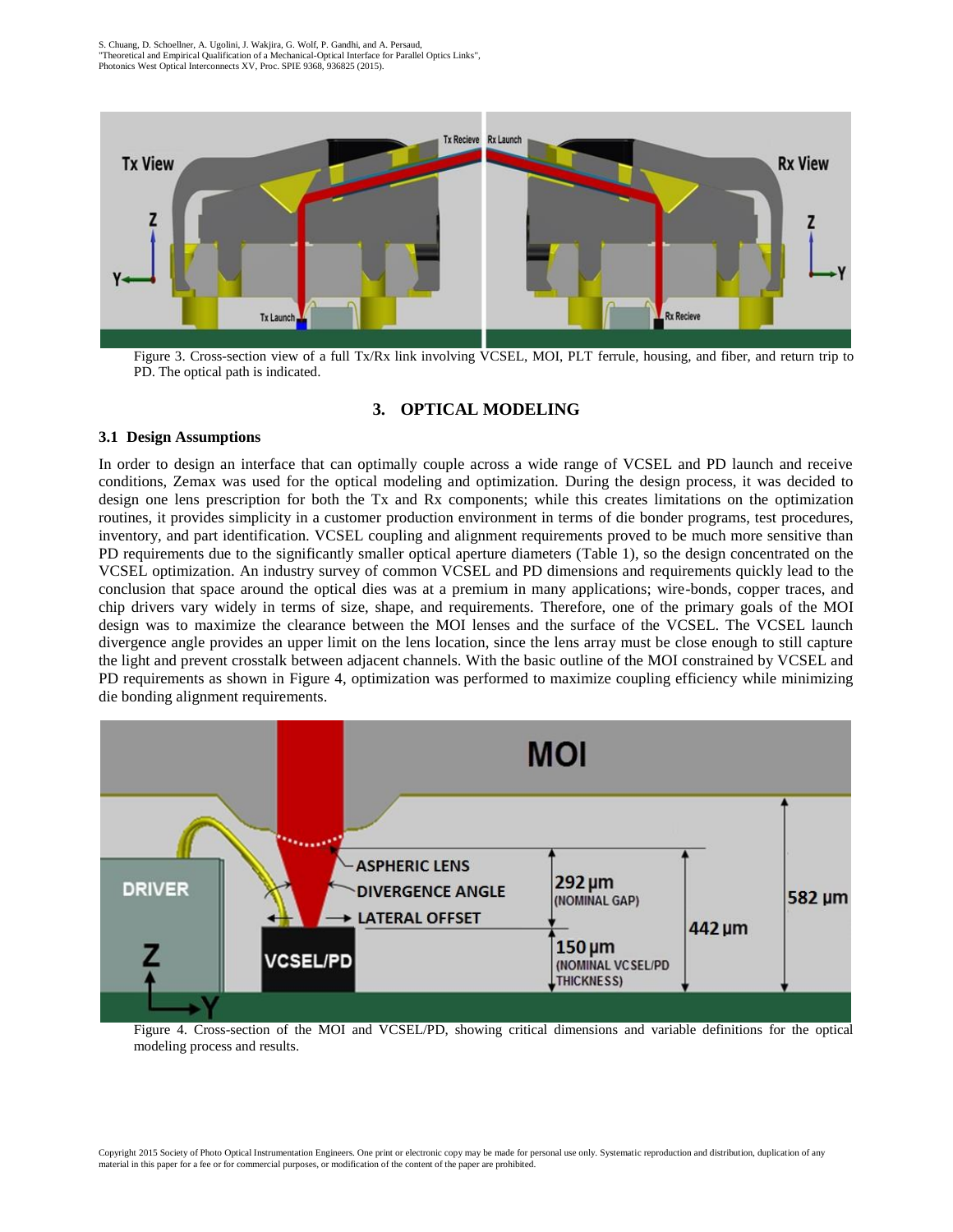

Figure 3. Cross-section view of a full Tx/Rx link involving VCSEL, MOI, PLT ferrule, housing, and fiber, and return trip to PD. The optical path is indicated.

# **3. OPTICAL MODELING**

#### **3.1 Design Assumptions**

In order to design an interface that can optimally couple across a wide range of VCSEL and PD launch and receive conditions, Zemax was used for the optical modeling and optimization. During the design process, it was decided to design one lens prescription for both the Tx and Rx components; while this creates limitations on the optimization routines, it provides simplicity in a customer production environment in terms of die bonder programs, test procedures, inventory, and part identification. VCSEL coupling and alignment requirements proved to be much more sensitive than PD requirements due to the significantly smaller optical aperture diameters (Table 1), so the design concentrated on the VCSEL optimization. An industry survey of common VCSEL and PD dimensions and requirements quickly lead to the conclusion that space around the optical dies was at a premium in many applications; wire-bonds, copper traces, and chip drivers vary widely in terms of size, shape, and requirements. Therefore, one of the primary goals of the MOI design was to maximize the clearance between the MOI lenses and the surface of the VCSEL. The VCSEL launch divergence angle provides an upper limit on the lens location, since the lens array must be close enough to still capture the light and prevent crosstalk between adjacent channels. With the basic outline of the MOI constrained by VCSEL and PD requirements as shown in Figure 4, optimization was performed to maximize coupling efficiency while minimizing die bonding alignment requirements.



Figure 4. Cross-section of the MOI and VCSEL/PD, showing critical dimensions and variable definitions for the optical modeling process and results.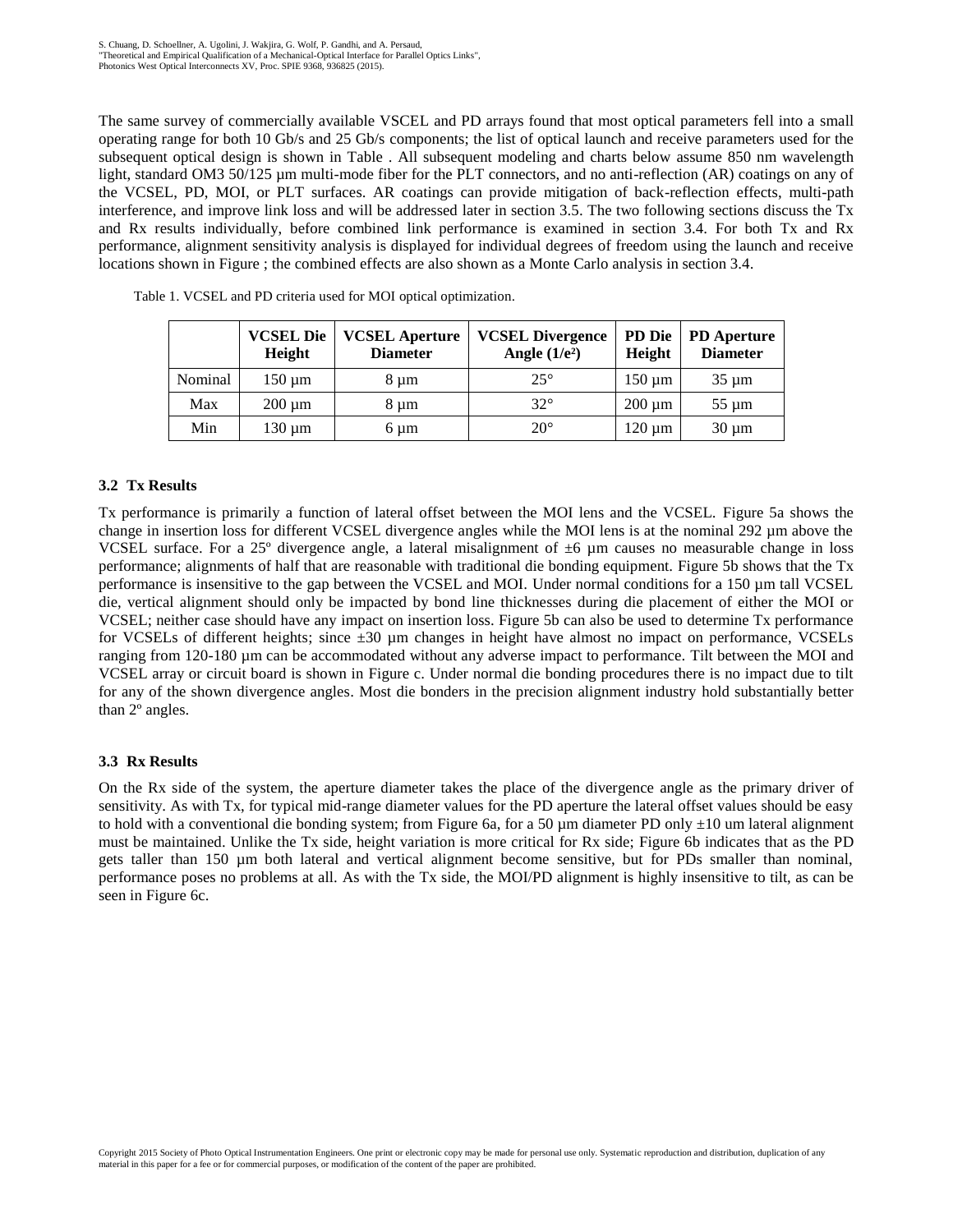The same survey of commercially available VSCEL and PD arrays found that most optical parameters fell into a small operating range for both 10 Gb/s and 25 Gb/s components; the list of optical launch and receive parameters used for the subsequent optical design is shown in Table . All subsequent modeling and charts below assume 850 nm wavelength light, standard OM3 50/125 µm multi-mode fiber for the PLT connectors, and no anti-reflection (AR) coatings on any of the VCSEL, PD, MOI, or PLT surfaces. AR coatings can provide mitigation of back-reflection effects, multi-path interference, and improve link loss and will be addressed later in section 3.5. The two following sections discuss the Tx and Rx results individually, before combined link performance is examined in section 3.4. For both Tx and Rx performance, alignment sensitivity analysis is displayed for individual degrees of freedom using the launch and receive locations shown in Figure ; the combined effects are also shown as a Monte Carlo analysis in section 3.4.

|         | <b>VCSEL Die</b><br><b>Height</b> | <b>VCSEL Aperture</b><br><b>Diameter</b> | <b>VCSEL Divergence</b><br>Angle $(1/e^2)$ | Height      | PD Die   PD Aperture<br><b>Diameter</b> |
|---------|-----------------------------------|------------------------------------------|--------------------------------------------|-------------|-----------------------------------------|
| Nominal | 150 um                            | 8 um                                     | $25^{\circ}$                               | $150 \mu m$ | $35 \mu m$                              |
| Max     | $200 \mu m$                       | 8 um                                     | $32^\circ$                                 | $200 \mu m$ | $55 \mu m$                              |
| Min     | 130 um                            | 6 um                                     | $20^{\circ}$                               | $120 \mu m$ | $30 \mu m$                              |

Table 1. VCSEL and PD criteria used for MOI optical optimization.

# **3.2 Tx Results**

Tx performance is primarily a function of lateral offset between the MOI lens and the VCSEL. Figure 5a shows the change in insertion loss for different VCSEL divergence angles while the MOI lens is at the nominal 292 µm above the VCSEL surface. For a 25° divergence angle, a lateral misalignment of  $\pm 6$  µm causes no measurable change in loss performance; alignments of half that are reasonable with traditional die bonding equipment. Figure 5b shows that the Tx performance is insensitive to the gap between the VCSEL and MOI. Under normal conditions for a 150 µm tall VCSEL die, vertical alignment should only be impacted by bond line thicknesses during die placement of either the MOI or VCSEL; neither case should have any impact on insertion loss. Figure 5b can also be used to determine Tx performance for VCSELs of different heights; since ±30 µm changes in height have almost no impact on performance, VCSELs ranging from 120-180 µm can be accommodated without any adverse impact to performance. Tilt between the MOI and VCSEL array or circuit board is shown in Figure c. Under normal die bonding procedures there is no impact due to tilt for any of the shown divergence angles. Most die bonders in the precision alignment industry hold substantially better than 2º angles.

# **3.3 Rx Results**

On the Rx side of the system, the aperture diameter takes the place of the divergence angle as the primary driver of sensitivity. As with Tx, for typical mid-range diameter values for the PD aperture the lateral offset values should be easy to hold with a conventional die bonding system; from Figure 6a, for a 50  $\mu$ m diameter PD only  $\pm 10$  um lateral alignment must be maintained. Unlike the Tx side, height variation is more critical for Rx side; Figure 6b indicates that as the PD gets taller than 150 µm both lateral and vertical alignment become sensitive, but for PDs smaller than nominal, performance poses no problems at all. As with the Tx side, the MOI/PD alignment is highly insensitive to tilt, as can be seen in Figure 6c.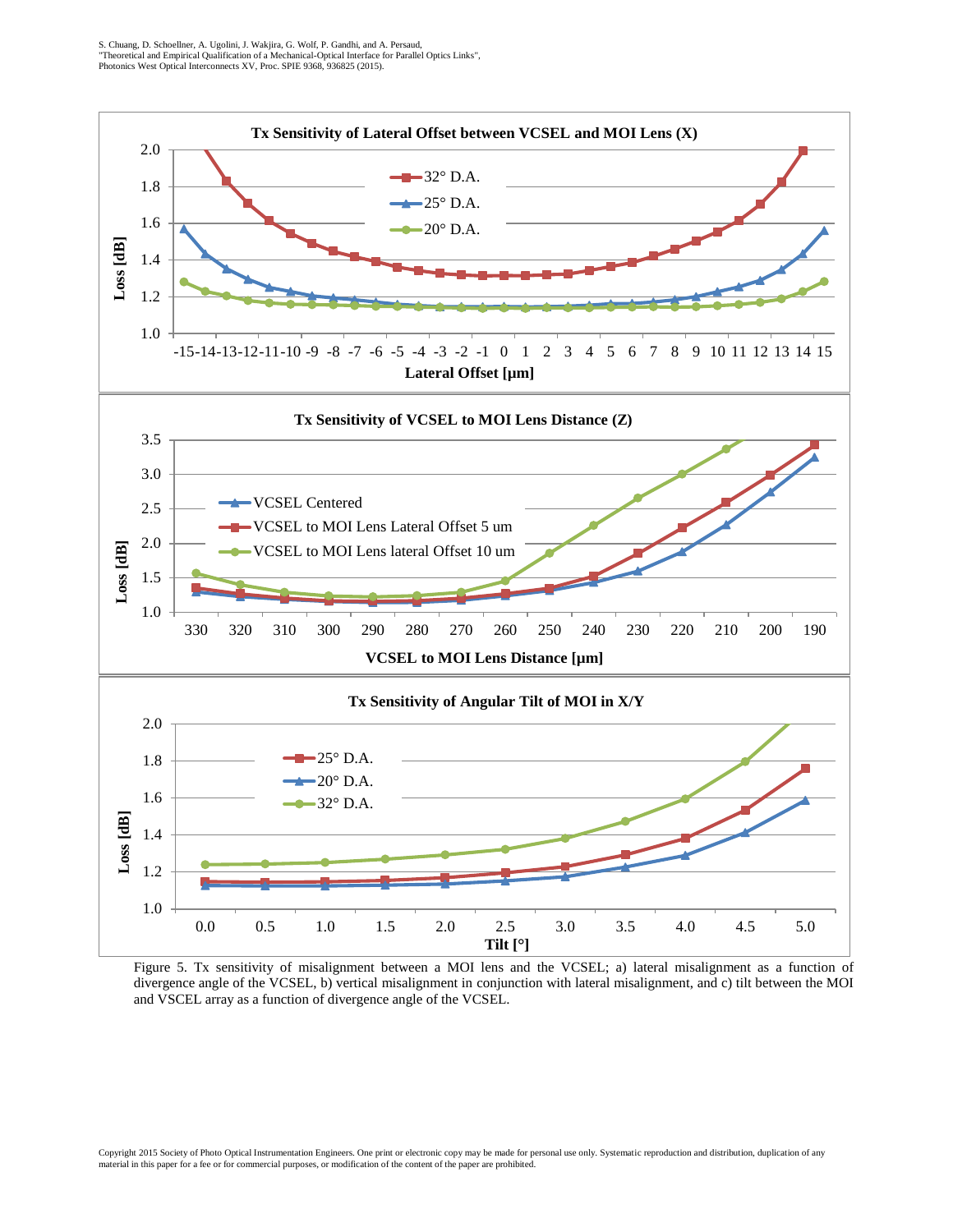

Figure 5. Tx sensitivity of misalignment between a MOI lens and the VCSEL; a) lateral misalignment as a function of divergence angle of the VCSEL, b) vertical misalignment in conjunction with lateral misalignment, and c) tilt between the MOI and VSCEL array as a function of divergence angle of the VCSEL.

Copyright 2015 Society of Photo Optical Instrumentation Engineers. One print or electronic copy may be made for personal use only. Systematic reproduction and distribution, duplication of any<br>material in this paper for a f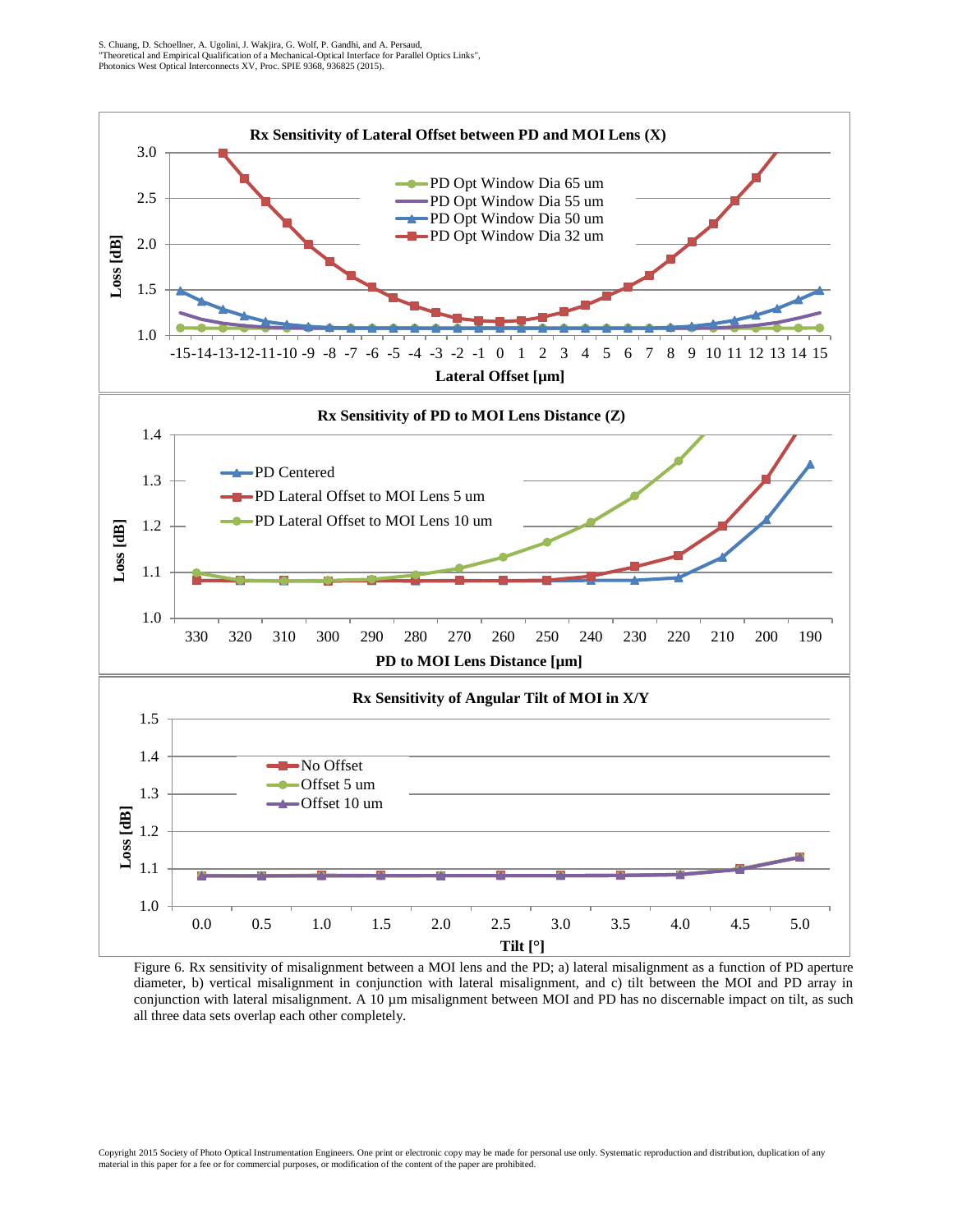

Figure 6. Rx sensitivity of misalignment between a MOI lens and the PD; a) lateral misalignment as a function of PD aperture diameter, b) vertical misalignment in conjunction with lateral misalignment, and c) tilt between the MOI and PD array in conjunction with lateral misalignment. A 10 µm misalignment between MOI and PD has no discernable impact on tilt, as such all three data sets overlap each other completely.

Copyright 2015 Society of Photo Optical Instrumentation Engineers. One print or electronic copy may be made for personal use only. Systematic reproduction and distribution, duplication of any material in this paper for a fee or for commercial purposes, or modification of the content of the paper are prohibited.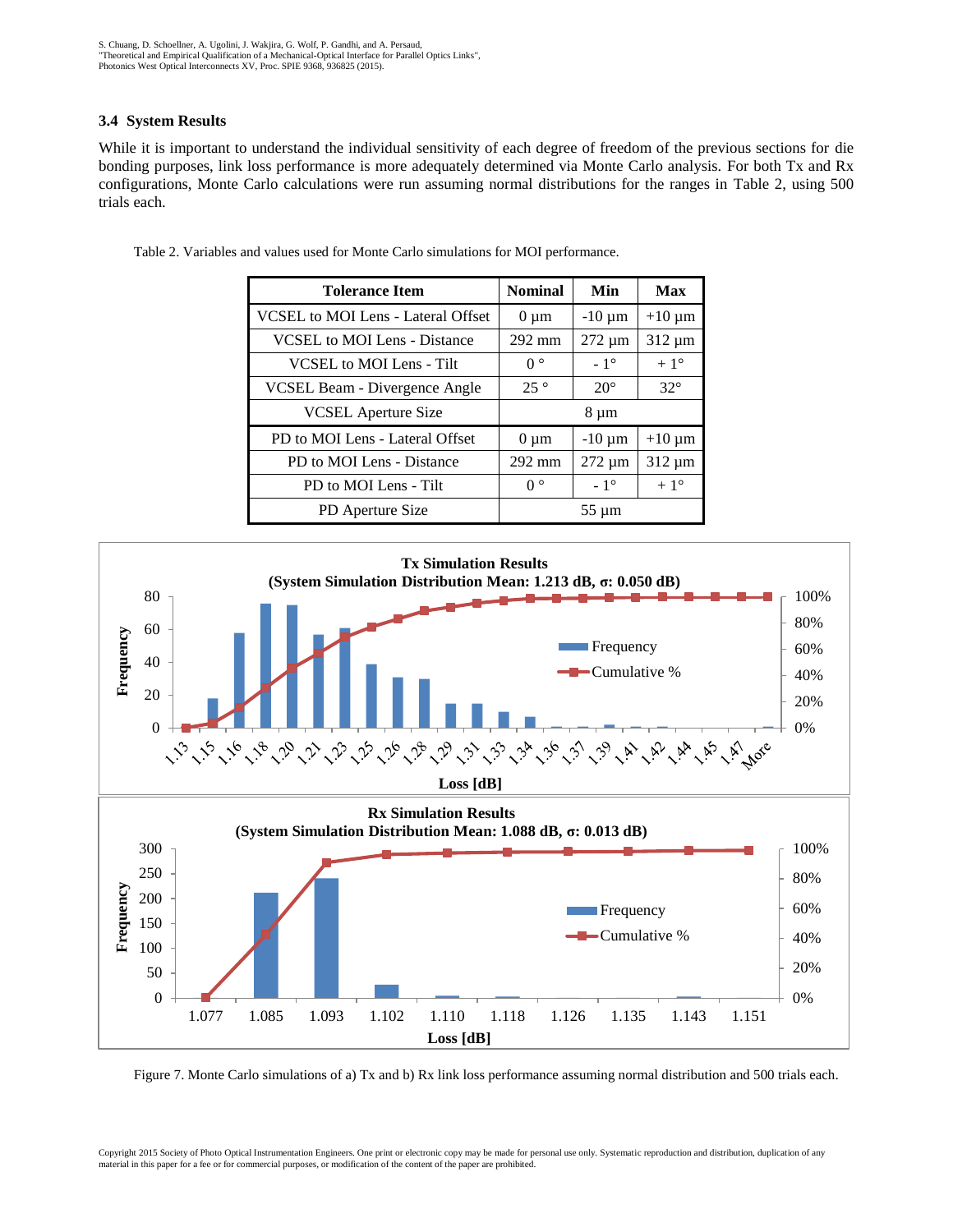#### **3.4 System Results**

While it is important to understand the individual sensitivity of each degree of freedom of the previous sections for die bonding purposes, link loss performance is more adequately determined via Monte Carlo analysis. For both Tx and Rx configurations, Monte Carlo calculations were run assuming normal distributions for the ranges in Table 2, using 500 trials each.

| <b>Tolerance Item</b>                | <b>Nominal</b>   | Min          | Max          |
|--------------------------------------|------------------|--------------|--------------|
| VCSEL to MOI Lens - Lateral Offset   | $0 \mu m$        | $-10 \mu m$  | $+10 \mu m$  |
| <b>VCSEL</b> to MOI Lens - Distance  | $292 \text{ mm}$ | 272 µm       | $312 \mu m$  |
| VCSEL to MOI Lens - Tilt             | $0^{\circ}$      | $-1^\circ$   | $+1^{\circ}$ |
| <b>VCSEL Beam - Divergence Angle</b> | $25^{\circ}$     | $20^{\circ}$ | $32^\circ$   |
| <b>VCSEL</b> Aperture Size           |                  | 8 µm         |              |
| PD to MOI Lens - Lateral Offset      | $0 \mu m$        | $-10 \mu m$  | $+10 \mu m$  |
| PD to MOI Lens - Distance            | 292 mm           | $272 \mu m$  | $312 \mu m$  |
| PD to MOI Lens - Tilt                | $0^{\circ}$      | $-1^\circ$   | $+1^{\circ}$ |
| PD Aperture Size                     |                  | $55 \mu m$   |              |

Table 2. Variables and values used for Monte Carlo simulations for MOI performance.



Figure 7. Monte Carlo simulations of a) Tx and b) Rx link loss performance assuming normal distribution and 500 trials each.

Copyright 2015 Society of Photo Optical Instrumentation Engineers. One print or electronic copy may be made for personal use only. Systematic reproduction and distribution, duplication of any material in this paper for a fee or for commercial purposes, or modification of the content of the paper are prohibited.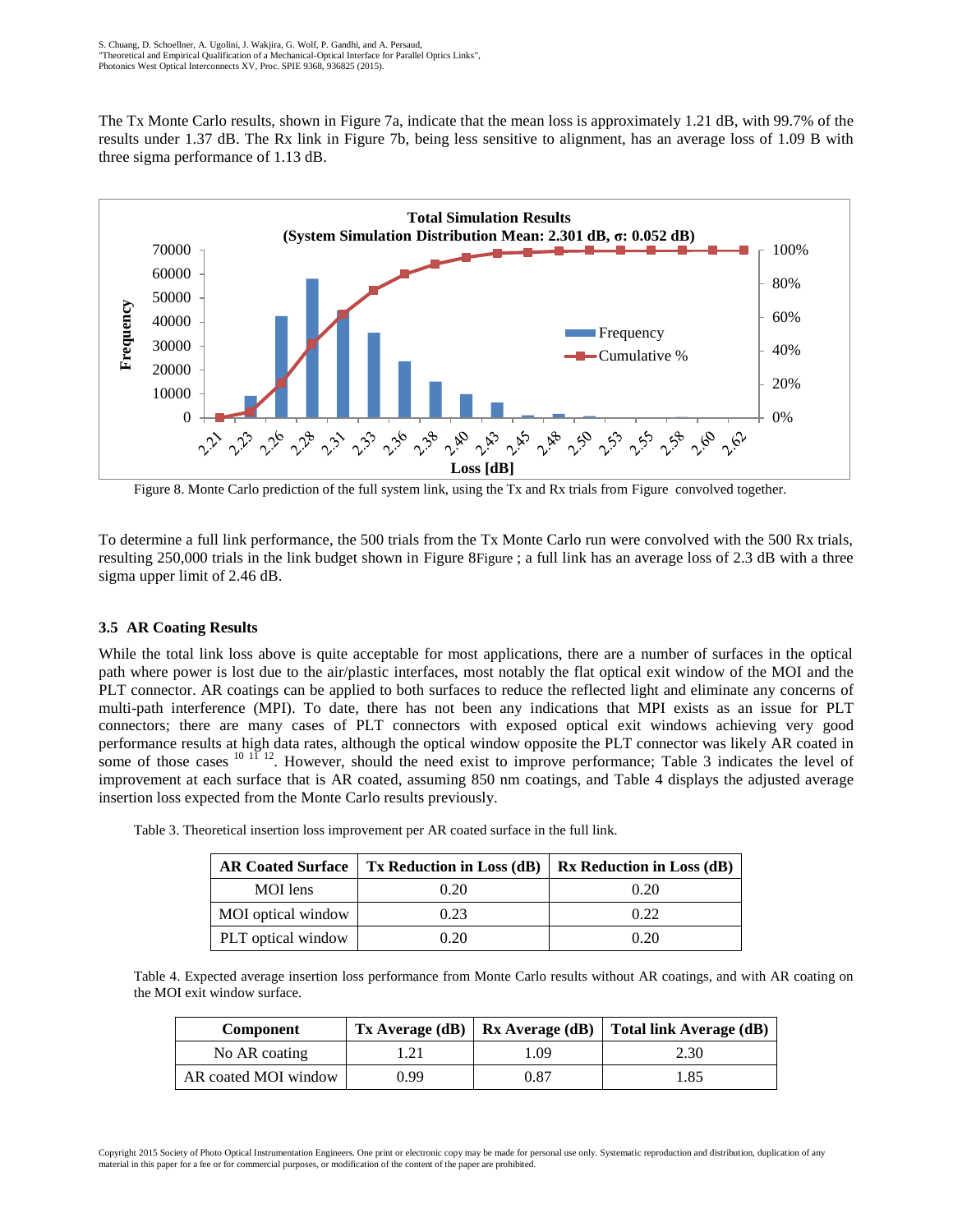The Tx Monte Carlo results, shown in Figure 7a, indicate that the mean loss is approximately 1.21 dB, with 99.7% of the results under 1.37 dB. The Rx link in Figure 7b, being less sensitive to alignment, has an average loss of 1.09 B with three sigma performance of 1.13 dB.



Figure 8. Monte Carlo prediction of the full system link, using the Tx and Rx trials from Figure convolved together.

To determine a full link performance, the 500 trials from the Tx Monte Carlo run were convolved with the 500 Rx trials, resulting 250,000 trials in the link budget shown in Figure 8Figure ; a full link has an average loss of 2.3 dB with a three sigma upper limit of 2.46 dB.

#### **3.5 AR Coating Results**

While the total link loss above is quite acceptable for most applications, there are a number of surfaces in the optical path where power is lost due to the air/plastic interfaces, most notably the flat optical exit window of the MOI and the PLT connector. AR coatings can be applied to both surfaces to reduce the reflected light and eliminate any concerns of multi-path interference (MPI). To date, there has not been any indications that MPI exists as an issue for PLT connectors; there are many cases of PLT connectors with exposed optical exit windows achieving very good performance results at high data rates, although the optical window opposite the PLT connector was likely AR coated in some of those cases  $^{10}$   $^{11}$   $^{12}$ . However, should the need exist to improve performance; Table 3 indicates the level of improvement at each surface that is AR coated, assuming 850 nm coatings, and Table 4 displays the adjusted average insertion loss expected from the Monte Carlo results previously.

| <b>AR Coated Surface</b> | <b>Tx Reduction in Loss (dB)</b> | <b>Rx Reduction in Loss (dB)</b> |  |
|--------------------------|----------------------------------|----------------------------------|--|
| MOI lens                 | 0.20                             | 0.20                             |  |
| MOI optical window       | 0.23                             | 0.22                             |  |
| PLT optical window       | 0.20                             | 0.20                             |  |

Table 3. Theoretical insertion loss improvement per AR coated surface in the full link.

Table 4. Expected average insertion loss performance from Monte Carlo results without AR coatings, and with AR coating on the MOI exit window surface.

| Component            |      |      | $Tx$ Average (dB)   Rx Average (dB)   Total link Average (dB) |
|----------------------|------|------|---------------------------------------------------------------|
| No AR coating        | 1.21 | 1.09 | 2.30                                                          |
| AR coated MOI window | 0.99 | 0.87 | 1.85                                                          |

Copyright 2015 Society of Photo Optical Instrumentation Engineers. One print or electronic copy may be made for personal use only. Systematic reproduction and distribution, duplication of any material in this paper for a fee or for commercial purposes, or modification of the content of the paper are prohibited.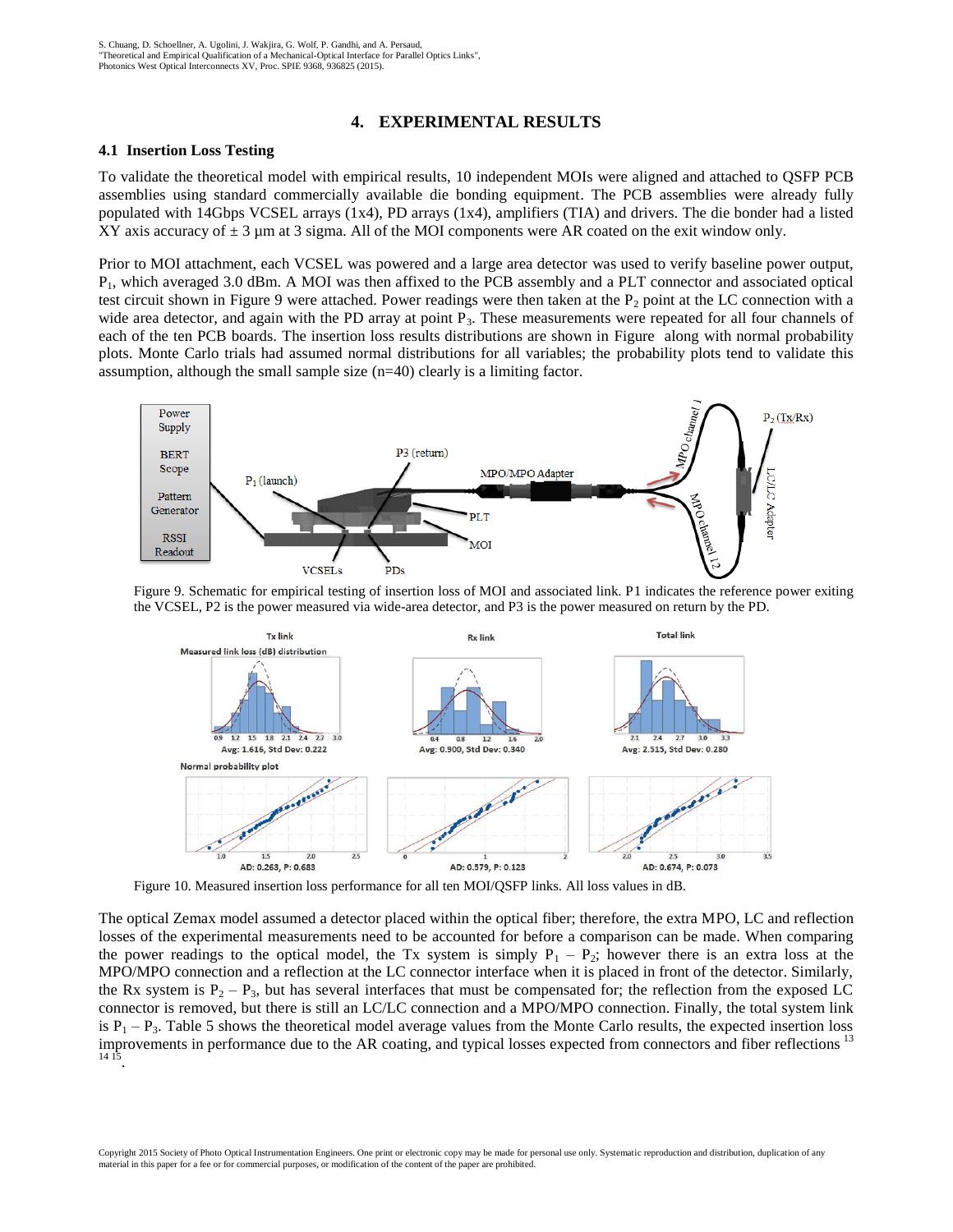#### **4. EXPERIMENTAL RESULTS**

#### **4.1 Insertion Loss Testing**

To validate the theoretical model with empirical results, 10 independent MOIs were aligned and attached to QSFP PCB assemblies using standard commercially available die bonding equipment. The PCB assemblies were already fully populated with 14Gbps VCSEL arrays (1x4), PD arrays (1x4), amplifiers (TIA) and drivers. The die bonder had a listed XY axis accuracy of  $\pm 3$  µm at 3 sigma. All of the MOI components were AR coated on the exit window only.

Prior to MOI attachment, each VCSEL was powered and a large area detector was used to verify baseline power output, P1, which averaged 3.0 dBm. A MOI was then affixed to the PCB assembly and a PLT connector and associated optical test circuit shown in Figure 9 were attached. Power readings were then taken at the  $P_2$  point at the LC connection with a wide area detector, and again with the PD array at point  $P_3$ . These measurements were repeated for all four channels of each of the ten PCB boards. The insertion loss results distributions are shown in [Figure](#page-8-0) along with normal probability plots. Monte Carlo trials had assumed normal distributions for all variables; the probability plots tend to validate this assumption, although the small sample size (n=40) clearly is a limiting factor.



<span id="page-8-0"></span>Figure 9. Schematic for empirical testing of insertion loss of MOI and associated link. P1 indicates the reference power exiting the VCSEL, P2 is the power measured via wide-area detector, and P3 is the power measured on return by the PD.



Figure 10. Measured insertion loss performance for all ten MOI/QSFP links. All loss values in dB.

The optical Zemax model assumed a detector placed within the optical fiber; therefore, the extra MPO, LC and reflection losses of the experimental measurements need to be accounted for before a comparison can be made. When comparing the power readings to the optical model, the Tx system is simply  $P_1 - P_2$ ; however there is an extra loss at the MPO/MPO connection and a reflection at the LC connector interface when it is placed in front of the detector. Similarly, the Rx system is  $P_2 - P_3$ , but has several interfaces that must be compensated for; the reflection from the exposed LC connector is removed, but there is still an LC/LC connection and a MPO/MPO connection. Finally, the total system link is  $P_1 - P_3$ . Table 5 shows the theoretical model average values from the Monte Carlo results, the expected insertion loss improvements in performance due to the AR coating, and typical losses expected from connectors and fiber reflections<sup>13</sup> 14 15 .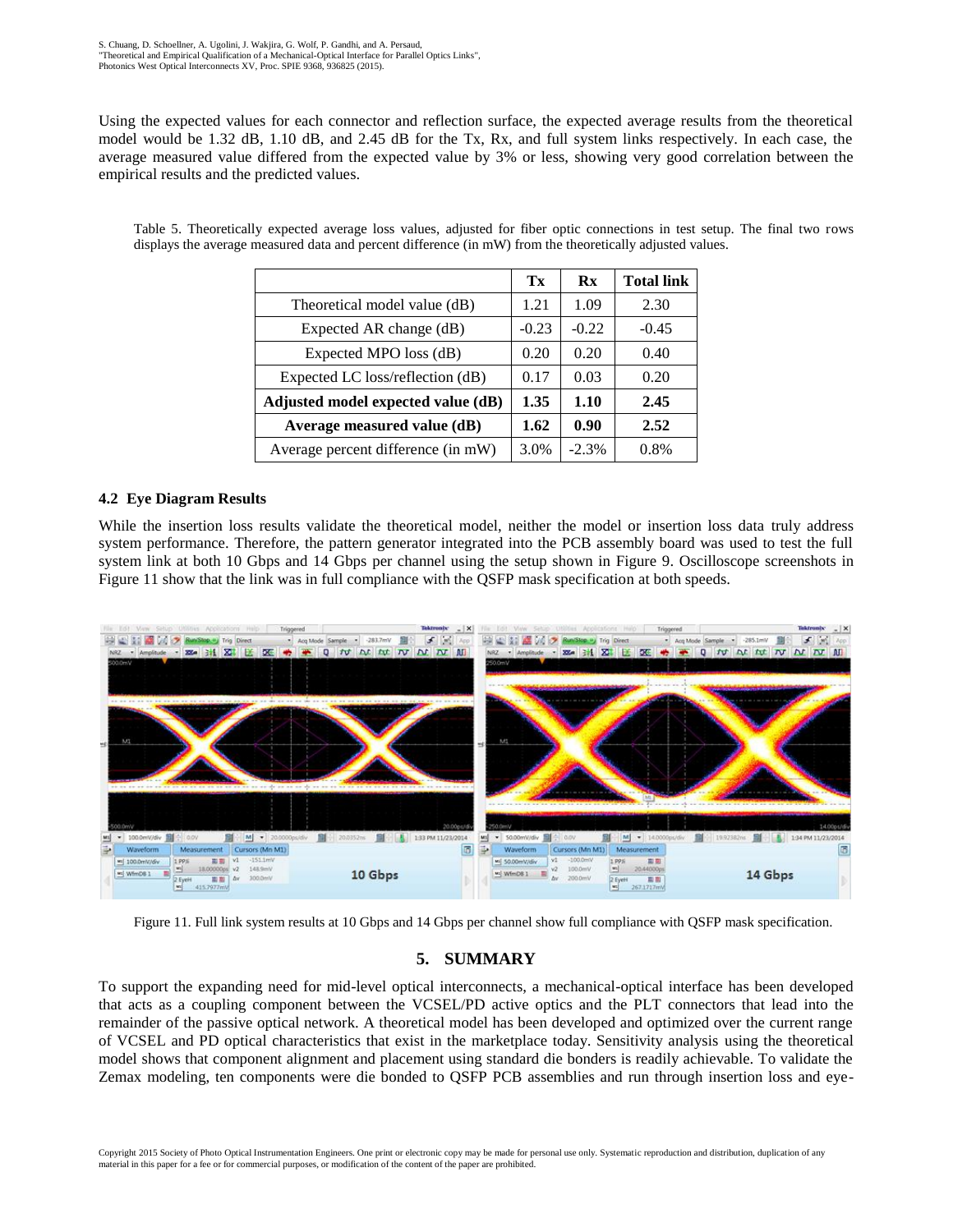Using the expected values for each connector and reflection surface, the expected average results from the theoretical model would be 1.32 dB, 1.10 dB, and 2.45 dB for the Tx, Rx, and full system links respectively. In each case, the average measured value differed from the expected value by 3% or less, showing very good correlation between the empirical results and the predicted values.

|                                    | Tx      | $\mathbf{R} \mathbf{x}$ | <b>Total link</b> |
|------------------------------------|---------|-------------------------|-------------------|
| Theoretical model value (dB)       | 1.21    | 1.09                    | 2.30              |
| Expected AR change (dB)            | $-0.23$ | $-0.22$                 | $-0.45$           |
| Expected MPO loss (dB)             | 0.20    | 0.20                    | 0.40              |
| Expected LC loss/reflection (dB)   | 0.17    | 0.03                    | 0.20              |
| Adjusted model expected value (dB) | 1.35    | 1.10                    | 2.45              |
| Average measured value (dB)        | 1.62    | 0.90                    | 2.52              |
| Average percent difference (in mW) | 3.0%    | $-2.3%$                 | 0.8%              |

Table 5. Theoretically expected average loss values, adjusted for fiber optic connections in test setup. The final two rows displays the average measured data and percent difference (in mW) from the theoretically adjusted values.

# **4.2 Eye Diagram Results**

While the insertion loss results validate the theoretical model, neither the model or insertion loss data truly address system performance. Therefore, the pattern generator integrated into the PCB assembly board was used to test the full system link at both 10 Gbps and 14 Gbps per channel using the setup shown in Figure 9. Oscilloscope screenshots in Figure 11 show that the link was in full compliance with the QSFP mask specification at both speeds.



Figure 11. Full link system results at 10 Gbps and 14 Gbps per channel show full compliance with QSFP mask specification.

# **5. SUMMARY**

To support the expanding need for mid-level optical interconnects, a mechanical-optical interface has been developed that acts as a coupling component between the VCSEL/PD active optics and the PLT connectors that lead into the remainder of the passive optical network. A theoretical model has been developed and optimized over the current range of VCSEL and PD optical characteristics that exist in the marketplace today. Sensitivity analysis using the theoretical model shows that component alignment and placement using standard die bonders is readily achievable. To validate the Zemax modeling, ten components were die bonded to QSFP PCB assemblies and run through insertion loss and eye